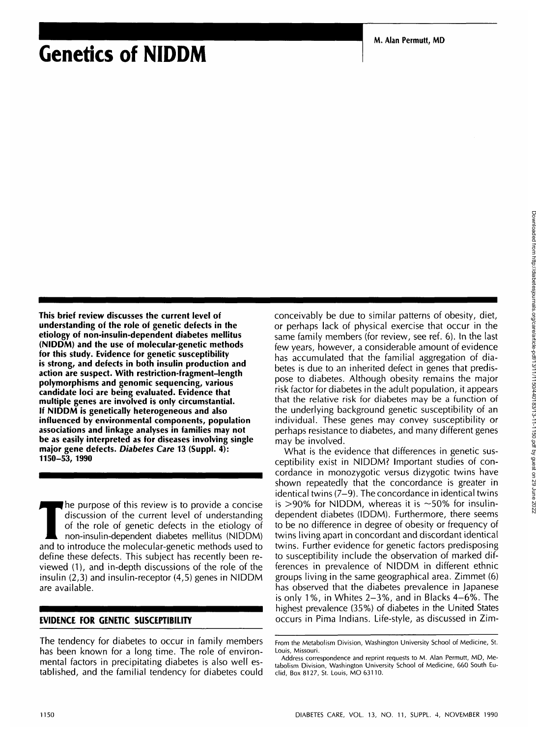# **Genetics of NIDDM**

**This brief review discusses the current level of understanding of the role of genetic defects in the etiology of non-insulin-dependent diabetes mellitus (NIDDM) and the use of molecular-genetic methods for this study. Evidence for genetic susceptibility is strong, and defects in both insulin production and action are suspect. With restriction-fragment-length polymorphisms and genomic sequencing, various candidate loci are being evaluated. Evidence that multiple genes are involved is only circumstantial. If NIDDM is genetically heterogeneous and also influenced by environmental components, population associations and linkage analyses in families may not be as easily interpreted as for diseases involving single major gene defects. Diabetes Care 13 (Suppl. 4): 1150-53, 1990**

The purpose of this review is to provide a concise<br>discussion of the current level of understanding<br>of the role of genetic defects in the etiology of<br>non-insulin-dependent diabetes mellitus (NIDDM)<br>and to introduce the mol discussion of the current level of understanding of the role of genetic defects in the etiology of non-insulin-dependent diabetes mellitus (NIDDM) and to introduce the molecular-genetic methods used to define these defects. This subject has recently been reviewed (1), and in-depth discussions of the role of the insulin (2,3) and insulin-receptor (4,5) genes in NIDDM are available.

#### **EVIDENCE FOR GENETIC SUSCEPTIBILITY**

The tendency for diabetes to occur in family members has been known for a long time. The role of environmental factors in precipitating diabetes is also well established, and the familial tendency for diabetes could conceivably be due to similar patterns of obesity, diet, or perhaps lack of physical exercise that occur in the same family members (for review, see ref. 6). In the last few years, however, a considerable amount of evidence has accumulated that the familial aggregation of diabetes is due to an inherited defect in genes that predispose to diabetes. Although obesity remains the major risk factor for diabetes in the adult population, it appears that the relative risk for diabetes may be a function of the underlying background genetic susceptibility of an individual. These genes may convey susceptibility or perhaps resistance to diabetes, and many different genes may be involved.

What is the evidence that differences in genetic susceptibility exist in NIDDM? Important studies of concordance in monozygotic versus dizygotic twins have shown repeatedly that the concordance is greater in identical twins (7-9). The concordance in identical twins is  $>90\%$  for NIDDM, whereas it is  $\sim$ 50% for insulindependent diabetes (IDDM). Furthermore, there seems to be no difference in degree of obesity or frequency of twins living apart in concordant and discordant identical twins. Further evidence for genetic factors predisposing to susceptibility include the observation of marked differences in prevalence of NIDDM in different ethnic groups living in the same geographical area. Zimmet (6) has observed that the diabetes prevalence in Japanese is only 1%, in Whites 2-3%, and in Blacks 4-6%. The highest prevalence (35%) of diabetes in the United States occurs in Pima Indians. Life-style, as discussed in Zim-

From the Metabolism Division, Washington University School of Medicine, St. Louis, Missouri.

Address correspondence and reprint requests to M. Alan Permutt, MD, Metabolism Division, Washington University School of Medicine, 660 South Euclid, Box 8127, St. Louis, MO 63110.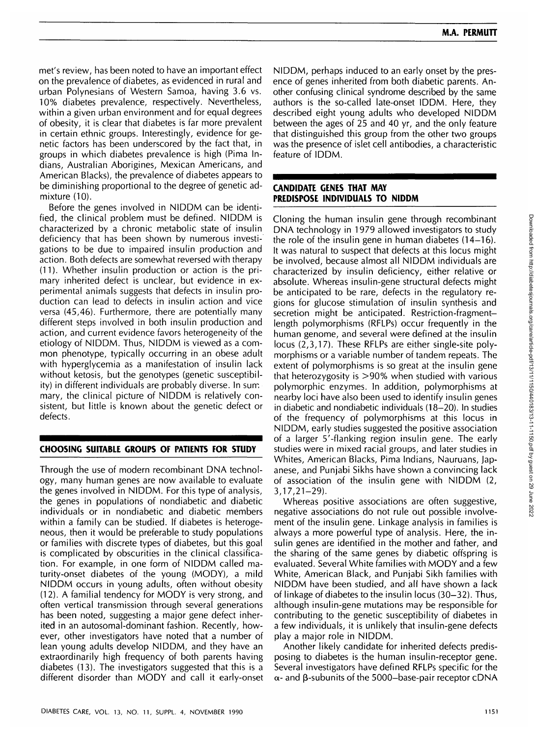met's review, has been noted to have an important effect on the prevalence of diabetes, as evidenced in rural and urban Polynesians of Western Samoa, having 3.6 vs. 10% diabetes prevalence, respectively. Nevertheless, within a given urban environment and for equal degrees of obesity, it is clear that diabetes is far more prevalent in certain ethnic groups. Interestingly, evidence for genetic factors has been underscored by the fact that, in groups in which diabetes prevalence is high (Pima Indians, Australian Aborigines, Mexican Americans, and American Blacks), the prevalence of diabetes appears to be diminishing proportional to the degree of genetic admixture (10).

Before the genes involved in NIDDM can be identified, the clinical problem must be defined. NIDDM is characterized by a chronic metabolic state of insulin deficiency that has been shown by numerous investigations to be due to impaired insulin production and action. Both defects are somewhat reversed with therapy (11). Whether insulin production or action is the primary inherited defect is unclear, but evidence in experimental animals suggests that defects in insulin production can lead to defects in insulin action and vice versa (45,46). Furthermore, there are potentially many different steps involved in both insulin production and action, and current evidence favors heterogeneity of the etiology of NIDDM. Thus, NIDDM is viewed as a common phenotype, typically occurring in an obese adult with hyperglycemia as a manifestation of insulin lack without ketosis, but the genotypes (genetic susceptibility) in different individuals are probably diverse. In sum mary, the clinical picture of NIDDM is relatively consistent, but little is known about the genetic defect or defects.

## **CHOOSING SUITABLE GROUPS OF PATIENTS FOR STUDY**

Through the use of modern recombinant DNA technology, many human genes are now available to evaluate the genes involved in NIDDM. For this type of analysis, the genes in populations of nondiabetic and diabetic individuals or in nondiabetic and diabetic members within a family can be studied. If diabetes is heterogeneous, then it would be preferable to study populations or families with discrete types of diabetes, but this goal is complicated by obscurities in the clinical classification. For example, in one form of NIDDM called maturity-onset diabetes of the young (MODY), a mild NIDDM occurs in young adults, often without obesity (12). A familial tendency for MODY is very strong, and often vertical transmission through several generations has been noted, suggesting a major gene defect inherited in an autosomal-dominant fashion. Recently, however, other investigators have noted that a number of lean young adults develop NIDDM, and they have an extraordinarily high frequency of both parents having diabetes (13). The investigators suggested that this is a different disorder than MODY and call it early-onset NIDDM, perhaps induced to an early onset by the presence of genes inherited from both diabetic parents. Another confusing clinical syndrome described by the same authors is the so-called late-onset IDDM. Here, they described eight young adults who developed NIDDM between the ages of 25 and 40 yr, and the only feature that distinguished this group from the other two groups was the presence of islet cell antibodies, a characteristic feature of IDDM.

#### **CANDIDATE GENES THAT MAY PREDISPOSE INDIVIDUALS TO NIDDM**

Cloning the human insulin gene through recombinant DNA technology in 1979 allowed investigators to study the role of the insulin gene in human diabetes (14-16). It was natural to suspect that defects at this locus might be involved, because almost all NIDDM individuals are characterized by insulin deficiency, either relative or absolute. Whereas insulin-gene structural defects might be anticipated to be rare, defects in the regulatory regions for glucose stimulation of insulin synthesis and secretion might be anticipated. Restriction-fragmentlength polymorphisms (RFLPs) occur frequently in the human genome, and several were defined at the insulin locus (2,3,17). These RFLPs are either single-site polymorphisms or a variable number of tandem repeats. The extent of polymorphisms is so great at the insulin gene that heterozygosity is >90% when studied with various polymorphic enzymes. In addition, polymorphisms at nearby loci have also been used to identify insulin genes in diabetic and nondiabetic individuals (18-20). In studies of the frequency of polymorphisms at this locus in NIDDM, early studies suggested the positive association of a larger 5'-flanking region insulin gene. The early studies were in mixed racial groups, and later studies in Whites, American Blacks, Pima Indians, Nauruans, Japanese, and Punjabi Sikhs have shown a convincing lack of association of the insulin gene with NIDDM (2, 3,17,21-29).

Whereas positive associations are often suggestive, negative associations do not rule out possible involvement of the insulin gene. Linkage analysis in families is always a more powerful type of analysis. Here, the insulin genes are identified in the mother and father, and the sharing of the same genes by diabetic offspring is evaluated. Several White families with MODY and a few White, American Black, and Punjabi Sikh families with NIDDM have been studied, and all have shown a lack of linkage of diabetes to the insulin locus (30-32). Thus, although insulin-gene mutations may be responsible for contributing to the genetic susceptibility of diabetes in a few individuals, it is unlikely that insulin-gene defects play a major role in NIDDM.

Another likely candidate for inherited defects predisposing to diabetes is the human insulin-receptor gene. Several investigators have defined RFLPs specific for the  $\alpha$ - and  $\beta$ -subunits of the 5000-base-pair receptor cDNA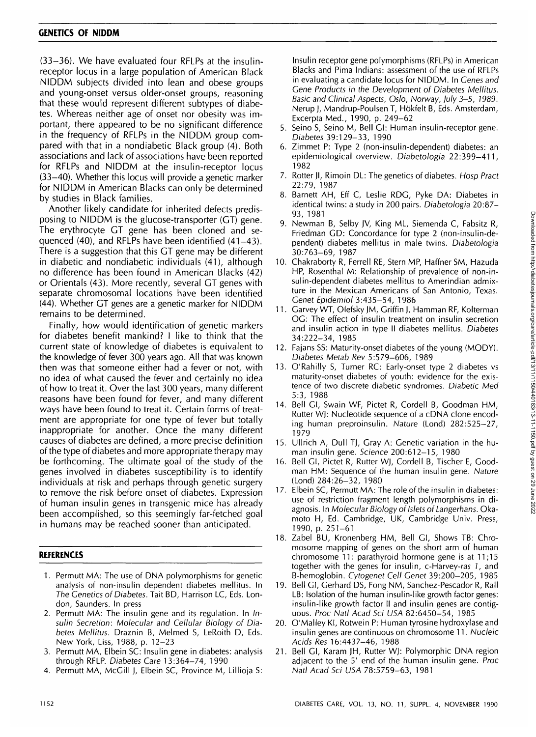(33-36). We have evaluated four RFLPs at the insulinreceptor locus in a large population of American Black NIDDM subjects divided into lean and obese groups and young-onset versus older-onset groups, reasoning that these would represent different subtypes of diabetes. Whereas neither age of onset nor obesity was important, there appeared to be no significant difference in the frequency of RFLPs in the NIDDM group compared with that in a nondiabetic Black group (4). Both associations and lack of associations have been reported for RFLPs and NIDDM at the insulin-receptor locus (33-40). Whether this locus will provide a genetic marker for NIDDM in American Blacks can only be determined by studies in Black families.

Another likely candidate for inherited defects predisposing to NIDDM is the glucose-transporter (GT) gene. The erythrocyte GT gene has been cloned and sequenced (40), and RFLPs have been identified (41-43). There is a suggestion that this GT gene may be different in diabetic and nondiabetic individuals (41), although no difference has been found in American Blacks (42) or Orientals (43). More recently, several GT genes with separate chromosomal locations have been identified (44). Whether GT genes are a genetic marker for NIDDM remains to be determined.

Finally, how would identification of genetic markers for diabetes benefit mankind? I like to think that the current state of knowledge of diabetes is equivalent to the knowledge of fever 300 years ago. All that was known then was that someone either had a fever or not, with no idea of what caused the fever and certainly no idea of how to treat it. Over the last 300 years, many different reasons have been found for fever, and many different ways have been found to treat it. Certain forms of treatment are appropriate for one type of fever but totally inappropriate for another. Once the many different causes of diabetes are defined, a more precise definition of the type of diabetes and more appropriate therapy may be forthcoming. The ultimate goal of the study of the genes involved in diabetes susceptibility is to identify individuals at risk and perhaps through genetic surgery to remove the risk before onset of diabetes. Expression of human insulin genes in transgenic mice has already been accomplished, so this seemingly far-fetched goal in humans may be reached sooner than anticipated.

## **REFERENCES**

- 1. Permutt MA: The use of DNA polymorphisms for genetic analysis of non-insulin dependent diabetes mellitus. In The Genetics of Diabetes. Tait BD, Harrison LC, Eds. London, Saunders. In press
- 2. Permutt MA: The insulin gene and its regulation. In Insulin Secretion: Molecular and Cellular Biology of Diabetes Mellitus. Draznin B, Melmed S, LeRoith D, Eds. New York, Liss, 1988, p. 12-23
- 3. Permutt MA, Elbein SC: Insulin gene in diabetes: analysis through RFLP. Diabetes Care 13:364-74, 1990
- 4. Permutt MA, McGill J, Elbein SC, Province M, Lillioja S:

Insulin receptor gene polymorphisms (RFLPs) in American Blacks and Pima Indians: assessment of the use of RFLPs in evaluating a candidate locus for NIDDM. In Genes and Gene Products in the Development of Diabetes Mellitus. Basic and Clinical Aspects, Oslo, Norway, July 3-5, 1989. Nerup J, Mandrup-Poulsen T, Hökfelt B, Eds. Amsterdam, Excerpta Med., 1990, p. 249-62

- 5. Seino S, Seino M, Bell Gl: Human insulin-receptor gene. Diabetes 39:129-33, 1990
- 6. Zimmet P: Type 2 (non-insulin-dependent) diabetes: an epidemiological overview. Diabetologia 22:399-411, 1982
- 7. Rotter Jl, Rimoin DL: The genetics of diabetes. Hosp Pract 22:79, 1987
- 8. Barnett AH, Eff C, Leslie RDG, Pyke DA: Diabetes in identical twins: a study in 200 pairs. Diabetologia 20:87- 93, 1981
- 9. Newman B, Selby JV, King ML, Siemenda C, Fabsitz R, Friedman GD: Concordance for type 2 (non-insulin-dependent) diabetes mellitus in male twins. Diabetologia 30:763-69, 1987
- 10. Chakraborty R, Ferrell RE, Stern MP, Haffner SM, Hazuda HP, Rosenthal M: Relationship of prevalence of non-insulin-dependent diabetes mellitus to Amerindian admixture in the Mexican Americans of San Antonio, Texas. Genet Epidemiol 3:435-54, 1986
- 11. Garvey WT, Olefsky JM, Griffin J, Hamman RF, Kolterman OG: The effect of insulin treatment on insulin secretion and insulin action in type II diabetes mellitus. Diabetes 34:222-34, 1985
- 12. Fajans SS: Maturity-onset diabetes of the young (MODY). Diabetes Metab Rev 5:579-606, 1989
- 13. O'Rahilly S, Turner RC: Early-onset type 2 diabetes vs maturity-onset diabetes of youth: evidence for the existence of two discrete diabetic syndromes. Diabetic Med 5:3, 1988
- 14. Bell Gl, Swain WF, Pictet R, Cordell B, Goodman HM, Rutter WJ: Nucleotide sequence of a cDNA clone encoding human preproinsulin. Nature (Lond) 282:525-27, 1979
- 15. Ullrich A, Dull TJ, Gray A: Genetic variation in the human insulin gene. Science 200:612-15, 1980
- 16. Bell Gl, Pictet R, Rutter WJ, Cordell B, Tischer E, Goodman HM: Sequence of the human insulin gene. Nature (Lond) 284:26-32, 1980
- 17. Elbein SC, Permutt MA: The role of the insulin in diabetes: use of restriction fragment length polymorphisms in diagnosis. In Molecular Biology of Islets of Langerhans. Okamoto H, Ed. Cambridge, UK, Cambridge Univ. Press, 1990, p. 251-61
- 18. Zabel BU, Kronenberg HM, Bell Gl, Shows TB: Chromosome mapping of genes on the short arm of human chromosome 11: parathyroid hormone gene is at 11 ;15 together with the genes for insulin, c-Harvey-ras 7, and B-hemoglobin. Cytogenet Cell Genet 39:200-205, 1985
- 19. Bell Gl, Gerhard DS, Fong NM, Sanchez-Pescador R, Rail LB: Isolation of the human insulin-like growth factor genes: insulin-like growth factor II and insulin genes are contiguous. Proc Natl Acad Sci USA 82:6450-54, 1985
- 20. O'Malley Kl, Rotwein P: Human tyrosine hydroxylase and insulin genes are continuous on chromosome 11. Nucleic Acids Res 16:4437-46, 1988
- 21. Bell Gl, Karam JH, Rutter WJ: Polymorphic DNA region adjacent to the 5' end of the human insulin gene. Proc Natl Acad Sci USA 78:5759-63, 1981